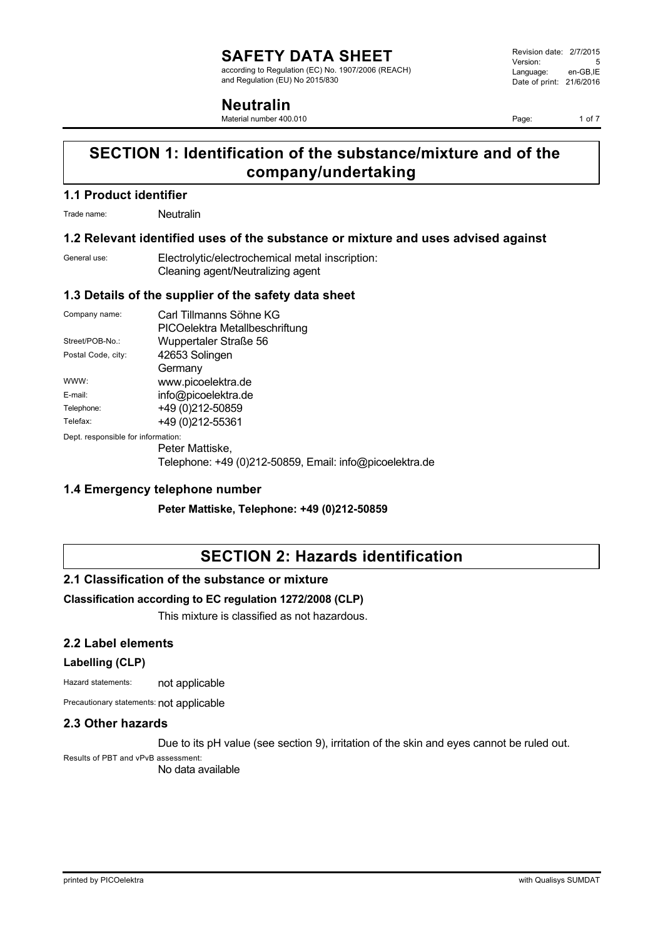according to Regulation (EC) No. 1907/2006 (REACH) and Regulation (EU) No 2015/830

### **Neutralin**

Material number 400.010

Revision date: 2/7/2015 Version: 5<br>Language: en-GB.IE Language: Date of print: 21/6/2016

Page: 1 of 7

## **SECTION 1: Identification of the substance/mixture and of the company/undertaking**

### **1.1 Product identifier**

Trade name: Neutralin

### **1.2 Relevant identified uses of the substance or mixture and uses advised against**

| General use: | Electrolytic/electrochemical metal inscription: |
|--------------|-------------------------------------------------|
|              | Cleaning agent/Neutralizing agent               |

### **1.3 Details of the supplier of the safety data sheet**

| Company name:                      | Carl Tillmanns Söhne KG        |
|------------------------------------|--------------------------------|
|                                    | PICOelektra Metallbeschriftung |
| Street/POB-No.:                    | Wuppertaler Straße 56          |
| Postal Code, city:                 | 42653 Solingen                 |
|                                    | Germany                        |
| WWW:                               | www.picoelektra.de             |
| E-mail:                            | info@picoelektra.de            |
| Telephone:                         | +49 (0) 212-50859              |
| Telefax:                           | +49 (0) 212-55361              |
| Dept. responsible for information: |                                |

Peter Mattiske, Telephone: +49 (0)212-50859, Email: info@picoelektra.de

### **1.4 Emergency telephone number**

**Peter Mattiske, Telephone: +49 (0)212-50859**

### **SECTION 2: Hazards identification**

### **2.1 Classification of the substance or mixture**

### **Classification according to EC regulation 1272/2008 (CLP)**

This mixture is classified as not hazardous.

### **2.2 Label elements**

#### **Labelling (CLP)**

Hazard statements: not applicable

Precautionary statements: not applicable

### **2.3 Other hazards**

Due to its pH value (see section 9), irritation of the skin and eyes cannot be ruled out.

Results of PBT and vPvB assessment:

No data available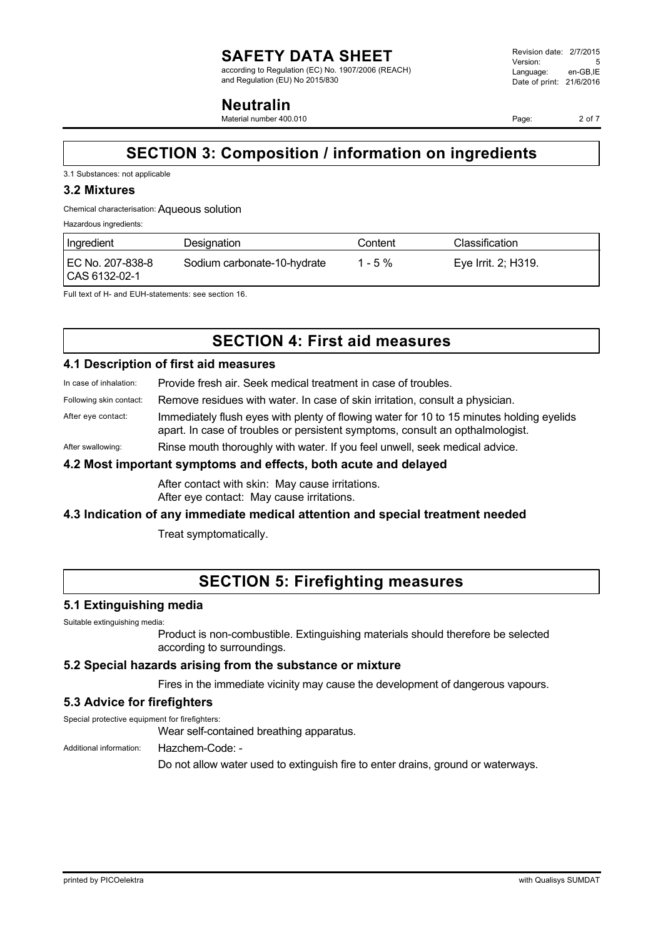according to Regulation (EC) No. 1907/2006 (REACH) and Regulation (EU) No 2015/830

### **Neutralin**

Material number 400.010

Page: 2 of 7

# **SECTION 3: Composition / information on ingredients**

#### 3.1 Substances: not applicable

#### **3.2 Mixtures**

#### Chemical characterisation:Aqueous solution

Hazardous ingredients:

| Ingredient                        | Designation                 | Content | Classification      |
|-----------------------------------|-----------------------------|---------|---------------------|
| EC No. 207-838-8<br>CAS 6132-02-1 | Sodium carbonate-10-hydrate | 1 - 5 % | Eye Irrit. 2; H319. |

Full text of H- and EUH-statements: see section 16.

# **SECTION 4: First aid measures**

### **4.1 Description of first aid measures**

In case of inhalation: Provide fresh air. Seek medical treatment in case of troubles.

- Following skin contact: Remove residues with water. In case of skin irritation, consult a physician.
- After eye contact: Immediately flush eyes with plenty of flowing water for 10 to 15 minutes holding eyelids apart. In case of troubles or persistent symptoms, consult an opthalmologist.
- After swallowing: Rinse mouth thoroughly with water. If you feel unwell, seek medical advice.

### **4.2 Most important symptoms and effects, both acute and delayed**

After contact with skin: May cause irritations. After eye contact: May cause irritations.

### **4.3 Indication of any immediate medical attention and special treatment needed**

Treat symptomatically.

### **SECTION 5: Firefighting measures**

### **5.1 Extinguishing media**

Suitable extinguishing media:

Product is non-combustible. Extinguishing materials should therefore be selected according to surroundings.

#### **5.2 Special hazards arising from the substance or mixture**

Fires in the immediate vicinity may cause the development of dangerous vapours.

### **5.3 Advice for firefighters**

Special protective equipment for firefighters: Wear self-contained breathing apparatus.

Additional information: Hazchem-Code: -

Do not allow water used to extinguish fire to enter drains, ground or waterways.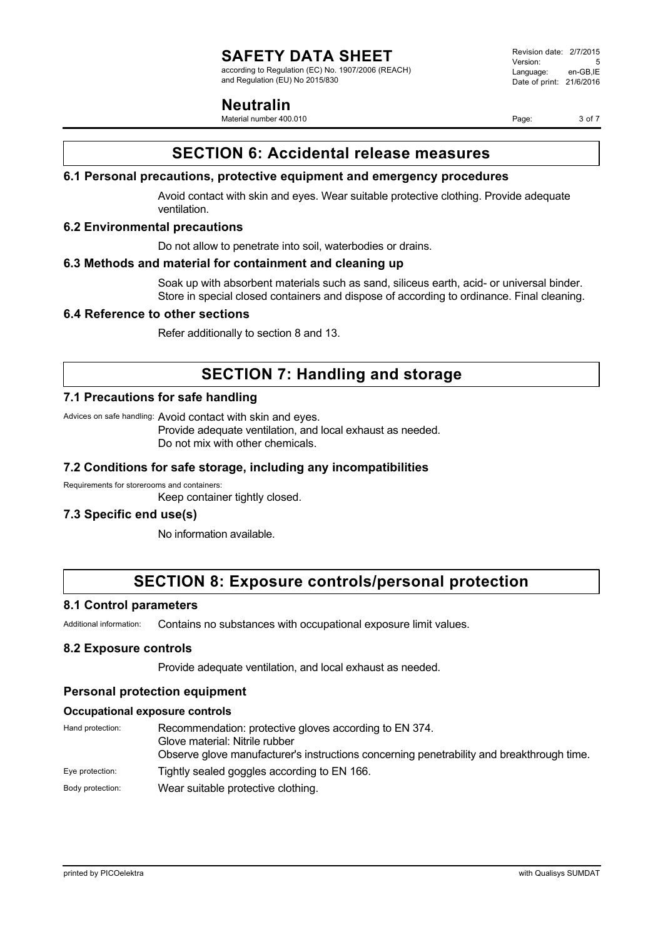according to Regulation (EC) No. 1907/2006 (REACH) and Regulation (EU) No 2015/830

### **Neutralin**

Material number 400.010

Revision date: 2/7/2015 Version: 5<br>Language: en-GB IE Language: Date of print: 21/6/2016

Page: 3 of 7

### **SECTION 6: Accidental release measures**

### **6.1 Personal precautions, protective equipment and emergency procedures**

Avoid contact with skin and eyes. Wear suitable protective clothing. Provide adequate ventilation.

### **6.2 Environmental precautions**

Do not allow to penetrate into soil, waterbodies or drains.

### **6.3 Methods and material for containment and cleaning up**

Soak up with absorbent materials such as sand, siliceus earth, acid- or universal binder. Store in special closed containers and dispose of according to ordinance. Final cleaning.

### **6.4 Reference to other sections**

Refer additionally to section 8 and 13.

### **SECTION 7: Handling and storage**

### **7.1 Precautions for safe handling**

Advices on safe handling: Avoid contact with skin and eyes.

Provide adequate ventilation, and local exhaust as needed. Do not mix with other chemicals.

### **7.2 Conditions for safe storage, including any incompatibilities**

Requirements for storerooms and containers: Keep container tightly closed.

### **7.3 Specific end use(s)**

No information available.

### **SECTION 8: Exposure controls/personal protection**

### **8.1 Control parameters**

Additional information: Contains no substances with occupational exposure limit values.

### **8.2 Exposure controls**

Provide adequate ventilation, and local exhaust as needed.

### **Personal protection equipment**

#### **Occupational exposure controls**

| Hand protection: | Recommendation: protective gloves according to EN 374.                                    |
|------------------|-------------------------------------------------------------------------------------------|
|                  | Glove material: Nitrile rubber                                                            |
|                  | Observe glove manufacturer's instructions concerning penetrability and breakthrough time. |
| Eye protection:  | Tightly sealed goggles according to EN 166.                                               |
| Body protection: | Wear suitable protective clothing.                                                        |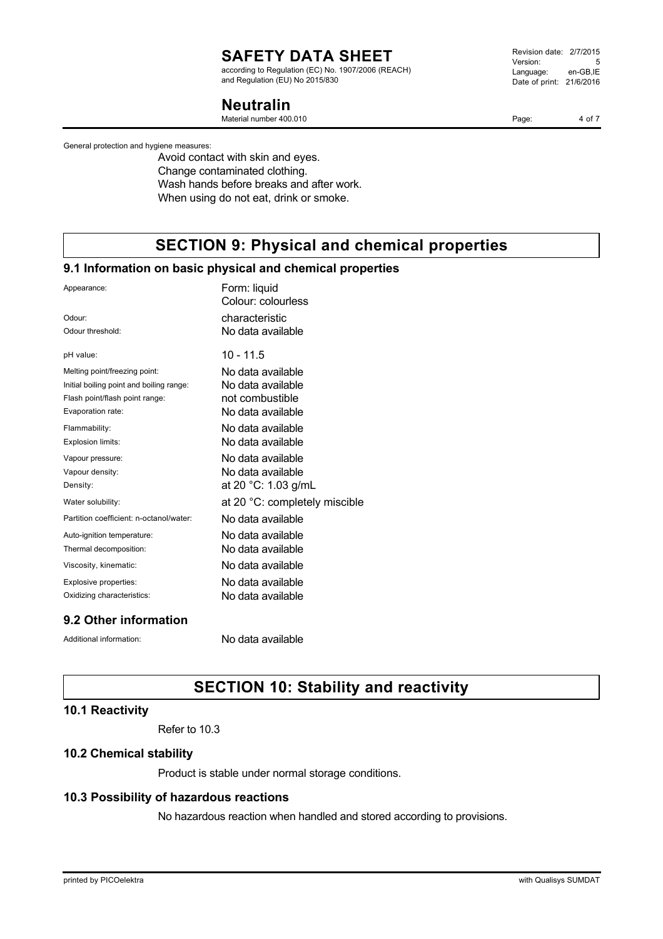according to Regulation (EC) No. 1907/2006 (REACH) and Regulation (EU) No 2015/830

### **Neutralin**

Material number 400.010

General protection and hygiene measures:

Avoid contact with skin and eyes. Change contaminated clothing. Wash hands before breaks and after work. When using do not eat, drink or smoke.

# **SECTION 9: Physical and chemical properties**

### **9.1 Information on basic physical and chemical properties**

| Appearance:                              | Form: liquid<br>Colour: colourless |
|------------------------------------------|------------------------------------|
| Odour:                                   | characteristic                     |
| Odour threshold:                         | No data available                  |
| pH value:                                | 10 - 11.5                          |
| Melting point/freezing point:            | No data available                  |
| Initial boiling point and boiling range: | No data available                  |
| Flash point/flash point range:           | not combustible                    |
| Evaporation rate:                        | No data available                  |
| Flammability:                            | No data available                  |
| Explosion limits:                        | No data available                  |
| Vapour pressure:                         | No data available                  |
| Vapour density:                          | No data available                  |
| Density:                                 | at 20 °C: 1.03 g/mL                |
| Water solubility:                        | at 20 °C: completely miscible      |
| Partition coefficient: n-octanol/water:  | No data available                  |
| Auto-ignition temperature:               | No data available                  |
| Thermal decomposition:                   | No data available                  |
| Viscosity, kinematic:                    | No data available                  |
| Explosive properties:                    | No data available                  |
| Oxidizing characteristics:               | No data available                  |

### **9.2 Other information**

Additional information: No data available

# **SECTION 10: Stability and reactivity**

#### **10.1 Reactivity**

Refer to 10.3

#### **10.2 Chemical stability**

Product is stable under normal storage conditions.

### **10.3 Possibility of hazardous reactions**

No hazardous reaction when handled and stored according to provisions.

Revision date: 2/7/2015 Version: 5<br>Language: en-GB.IE Language: Date of print: 21/6/2016

Page: 4 of 7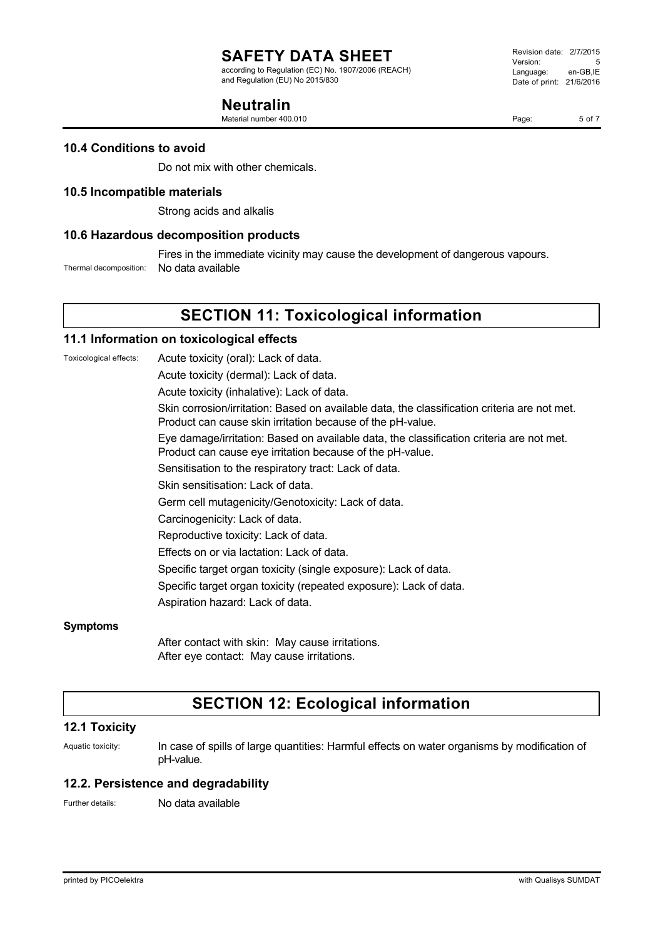according to Regulation (EC) No. 1907/2006 (REACH) and Regulation (EU) No 2015/830

### **Neutralin**

Material number 400.010

Page: 5 of 7

### **10.4 Conditions to avoid**

Do not mix with other chemicals.

### **10.5 Incompatible materials**

Strong acids and alkalis

### **10.6 Hazardous decomposition products**

Fires in the immediate vicinity may cause the development of dangerous vapours.

Thermal decomposition: No data available

# **SECTION 11: Toxicological information**

### **11.1 Information on toxicological effects**

Toxicological effects: Acute toxicity (oral): Lack of data.

Acute toxicity (dermal): Lack of data.

Acute toxicity (inhalative): Lack of data.

Skin corrosion/irritation: Based on available data, the classification criteria are not met. Product can cause skin irritation because of the pH-value.

Eye damage/irritation: Based on available data, the classification criteria are not met. Product can cause eye irritation because of the pH-value.

Sensitisation to the respiratory tract: Lack of data.

Skin sensitisation: Lack of data.

Germ cell mutagenicity/Genotoxicity: Lack of data.

Carcinogenicity: Lack of data.

Reproductive toxicity: Lack of data.

Effects on or via lactation: Lack of data.

Specific target organ toxicity (single exposure): Lack of data.

Specific target organ toxicity (repeated exposure): Lack of data.

Aspiration hazard: Lack of data.

#### **Symptoms**

After contact with skin: May cause irritations. After eye contact: May cause irritations.

### **SECTION 12: Ecological information**

### **12.1 Toxicity**

Aquatic toxicity: In case of spills of large quantities: Harmful effects on water organisms by modification of pH-value.

#### **12.2. Persistence and degradability**

Further details: No data available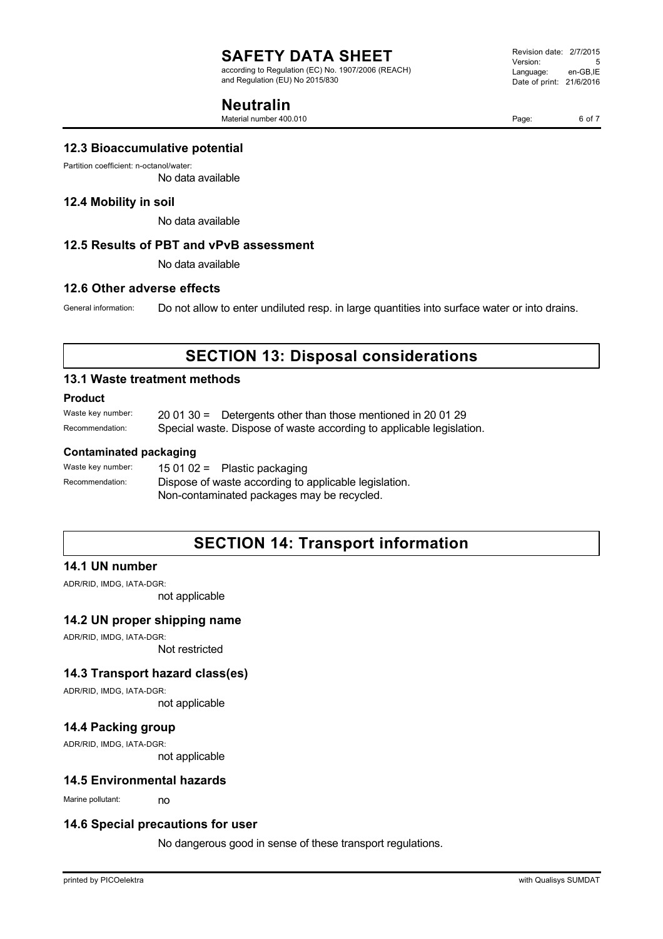according to Regulation (EC) No. 1907/2006 (REACH) and Regulation (EU) No 2015/830

### **Neutralin**

Material number 400.010

Revision date: 2/7/2015 Version: 5<br>Language: en-GB.IE Language: Date of print: 21/6/2016

Page: 6 of 7

### **12.3 Bioaccumulative potential**

Partition coefficient: n-octanol/water:

No data available

### **12.4 Mobility in soil**

No data available

### **12.5 Results of PBT and vPvB assessment**

No data available

### **12.6 Other adverse effects**

General information: Do not allow to enter undiluted resp. in large quantities into surface water or into drains.

### **SECTION 13: Disposal considerations**

#### **13.1 Waste treatment methods**

#### **Product**

Waste key number: 20 01 30 = Detergents other than those mentioned in 20 01 29 Recommendation: Special waste. Dispose of waste according to applicable legislation.

### **Contaminated packaging**

| Waste key number: | 15 01 02 = Plastic packaging                          |
|-------------------|-------------------------------------------------------|
| Recommendation:   | Dispose of waste according to applicable legislation. |
|                   | Non-contaminated packages may be recycled.            |

### **SECTION 14: Transport information**

### **14.1 UN number**

ADR/RID, IMDG, IATA-DGR:

not applicable

### **14.2 UN proper shipping name**

ADR/RID, IMDG, IATA-DGR: Not restricted

### **14.3 Transport hazard class(es)**

ADR/RID, IMDG, IATA-DGR: not applicable

**14.4 Packing group**

ADR/RID, IMDG, IATA-DGR:

not applicable

#### **14.5 Environmental hazards**

Marine pollutant: no

#### **14.6 Special precautions for user**

No dangerous good in sense of these transport regulations.